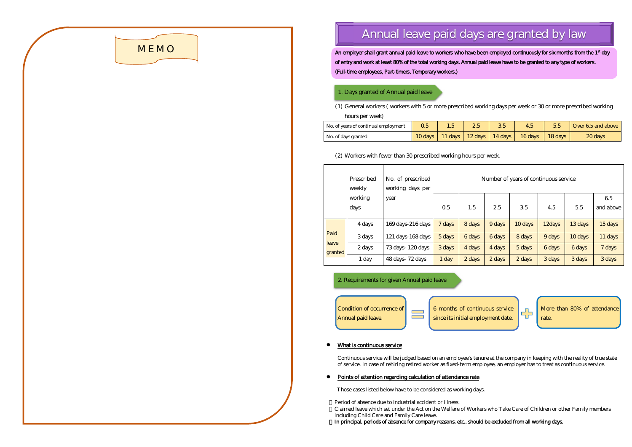# **MEMO**

## **Annual leave paid days are granted by law**

An employer shall grant annual paid leave to workers who have been employed continuously for six months from the 1<sup>st</sup> day of entry and work at least 80% of the total working days. Annual paid leave have to be granted to any type of workers. (Full-time employees, Part-timers, Temporary workers.)

### 1. Days granted of Annual paid leave

(1) General workers ( workers with 5 or more prescribed working days per week or 30 or more prescribed working hours per week)

| No. of years of continual employment | 0.5 |  | 45                                                                  | Over 6.5 and above |
|--------------------------------------|-----|--|---------------------------------------------------------------------|--------------------|
| No. of days granted                  |     |  | $10 \text{ days}$   11 days   12 days   14 days   16 days   18 days | 20 <sub>days</sub> |

Period of absence due to industrial accident or illness. Claimed leave which set under the Act on the Welfare of Workers who Take Care of Children or other Family members including Child Care and Family Care leave. In principal, periods of absence for company reasons, etc., should be excluded from all working days.



## (2) Workers with fewer than 30 prescribed working hours per week.

2. Requirements for given Annual paid leave



|       |  | More than 80% of attendance |
|-------|--|-----------------------------|
| rate. |  |                             |

#### What is continuous service

Continuous service will be judged based on an employee's tenure at the company in keeping with the reality of true state of service. In case of rehiring retired worker as fixed-term employee, an employer has to treat as continuous service.

## Points of attention regarding calculation of attendance rate

Those cases listed below have to be considered as working days.

|                          | Prescribed<br>weekly | No. of prescribed<br>working days per | Number of years of continuous service |                    |                    |                    |        |         |                 |  |
|--------------------------|----------------------|---------------------------------------|---------------------------------------|--------------------|--------------------|--------------------|--------|---------|-----------------|--|
|                          | working<br>days      | year                                  | 0.5                                   | 1.5                | 25                 | 35                 | 4.5    | 5.5     | 65<br>and above |  |
| Paid<br>leave<br>granted | 4 days               | 169 days-216 days                     | 7 days                                | 8 days             | 9 days             | 10 days            | 12days | 13 days | 15 days         |  |
|                          | 3 days               | $121$ days $168$ days                 | $5 \, \text{days}$                    | 6 days             | 6 days             | 8 days             | 9 days | 10 days | 11 days         |  |
|                          | $2 \, \text{days}$   | $73 \,\mathrm{days}$ 120 days         | 3 days                                | 4 days             | 4 days             | $5 \, \text{days}$ | 6 days | 6 days  | 7 days          |  |
|                          | $1$ day              | 48 days 72 days                       | 1 <sub>day</sub>                      | $2 \, \text{days}$ | $2 \, \text{days}$ | $2 \, \text{days}$ | 3 days | 3 days  | 3 days          |  |